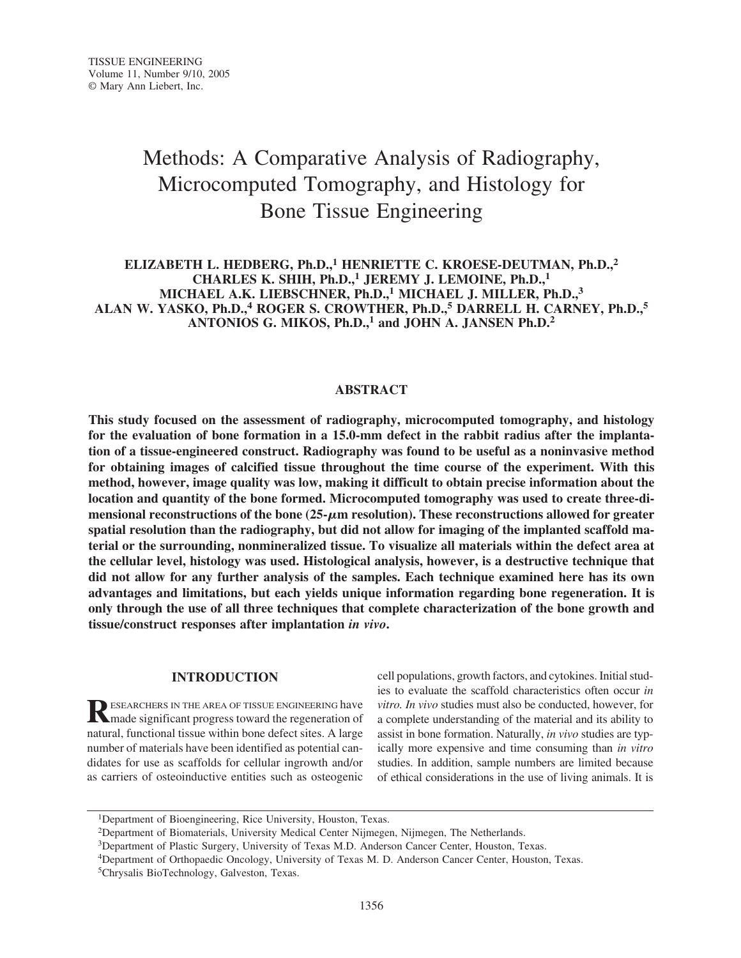# Methods: A Comparative Analysis of Radiography, Microcomputed Tomography, and Histology for Bone Tissue Engineering

**ELIZABETH L. HEDBERG, Ph.D.,<sup>1</sup> HENRIETTE C. KROESE-DEUTMAN, Ph.D.,<sup>2</sup> CHARLES K. SHIH, Ph.D.,<sup>1</sup> JEREMY J. LEMOINE, Ph.D.,<sup>1</sup> MICHAEL A.K. LIEBSCHNER, Ph.D.,<sup>1</sup> MICHAEL J. MILLER, Ph.D.,<sup>3</sup> ALAN W. YASKO, Ph.D.,<sup>4</sup> ROGER S. CROWTHER, Ph.D.,<sup>5</sup> DARRELL H. CARNEY, Ph.D.,<sup>5</sup> ANTONIOS G. MIKOS, Ph.D.,<sup>1</sup> and JOHN A. JANSEN Ph.D.<sup>2</sup>**

# **ABSTRACT**

**This study focused on the assessment of radiography, microcomputed tomography, and histology for the evaluation of bone formation in a 15.0-mm defect in the rabbit radius after the implantation of a tissue-engineered construct. Radiography was found to be useful as a noninvasive method for obtaining images of calcified tissue throughout the time course of the experiment. With this method, however, image quality was low, making it difficult to obtain precise information about the location and quantity of the bone formed. Microcomputed tomography was used to create three-dimensional reconstructions of the bone (25-** $\mu$ **m resolution). These reconstructions allowed for greater spatial resolution than the radiography, but did not allow for imaging of the implanted scaffold material or the surrounding, nonmineralized tissue. To visualize all materials within the defect area at the cellular level, histology was used. Histological analysis, however, is a destructive technique that did not allow for any further analysis of the samples. Each technique examined here has its own advantages and limitations, but each yields unique information regarding bone regeneration. It is only through the use of all three techniques that complete characterization of the bone growth and tissue/construct responses after implantation** *in vivo***.**

# **INTRODUCTION**

**RESEARCHERS IN THE AREA OF TISSUE ENGINEERING have** made significant progress toward the regeneration of natural, functional tissue within bone defect sites. A large number of materials have been identified as potential candidates for use as scaffolds for cellular ingrowth and/or as carriers of osteoinductive entities such as osteogenic

cell populations, growth factors, and cytokines. Initial studies to evaluate the scaffold characteristics often occur *in vitro. In vivo* studies must also be conducted, however, for a complete understanding of the material and its ability to assist in bone formation. Naturally, *in vivo* studies are typically more expensive and time consuming than *in vitro* studies. In addition, sample numbers are limited because of ethical considerations in the use of living animals. It is

<sup>&</sup>lt;sup>1</sup>Department of Bioengineering, Rice University, Houston, Texas.

<sup>2</sup>Department of Biomaterials, University Medical Center Nijmegen, Nijmegen, The Netherlands.

<sup>3</sup>Department of Plastic Surgery, University of Texas M.D. Anderson Cancer Center, Houston, Texas.

<sup>4</sup>Department of Orthopaedic Oncology, University of Texas M. D. Anderson Cancer Center, Houston, Texas.

<sup>&</sup>lt;sup>5</sup>Chrysalis BioTechnology, Galveston, Texas.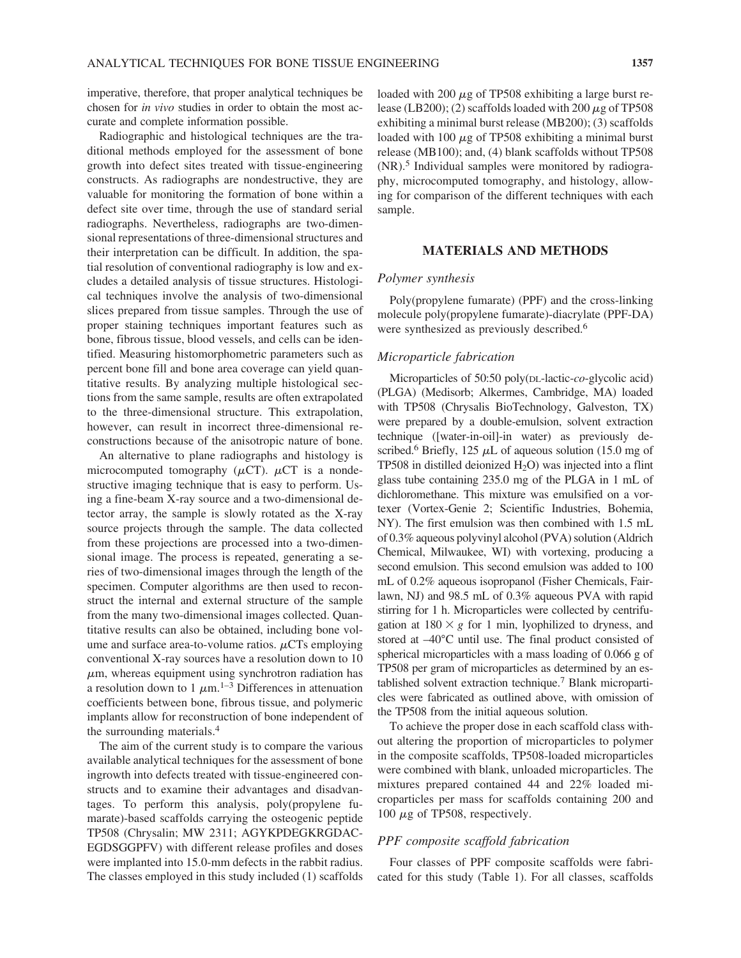imperative, therefore, that proper analytical techniques be chosen for *in vivo* studies in order to obtain the most accurate and complete information possible.

Radiographic and histological techniques are the traditional methods employed for the assessment of bone growth into defect sites treated with tissue-engineering constructs. As radiographs are nondestructive, they are valuable for monitoring the formation of bone within a defect site over time, through the use of standard serial radiographs. Nevertheless, radiographs are two-dimensional representations of three-dimensional structures and their interpretation can be difficult. In addition, the spatial resolution of conventional radiography is low and excludes a detailed analysis of tissue structures. Histological techniques involve the analysis of two-dimensional slices prepared from tissue samples. Through the use of proper staining techniques important features such as bone, fibrous tissue, blood vessels, and cells can be identified. Measuring histomorphometric parameters such as percent bone fill and bone area coverage can yield quantitative results. By analyzing multiple histological sections from the same sample, results are often extrapolated to the three-dimensional structure. This extrapolation, however, can result in incorrect three-dimensional reconstructions because of the anisotropic nature of bone.

An alternative to plane radiographs and histology is microcomputed tomography ( $\mu$ CT).  $\mu$ CT is a nondestructive imaging technique that is easy to perform. Using a fine-beam X-ray source and a two-dimensional detector array, the sample is slowly rotated as the X-ray source projects through the sample. The data collected from these projections are processed into a two-dimensional image. The process is repeated, generating a series of two-dimensional images through the length of the specimen. Computer algorithms are then used to reconstruct the internal and external structure of the sample from the many two-dimensional images collected. Quantitative results can also be obtained, including bone volume and surface area-to-volume ratios.  $\mu$ CTs employing conventional X-ray sources have a resolution down to 10  $\mu$ m, whereas equipment using synchrotron radiation has a resolution down to 1  $\mu$ m.<sup>1–3</sup> Differences in attenuation coefficients between bone, fibrous tissue, and polymeric implants allow for reconstruction of bone independent of the surrounding materials.<sup>4</sup>

The aim of the current study is to compare the various available analytical techniques for the assessment of bone ingrowth into defects treated with tissue-engineered constructs and to examine their advantages and disadvantages. To perform this analysis, poly(propylene fumarate)-based scaffolds carrying the osteogenic peptide TP508 (Chrysalin; MW 2311; AGYKPDEGKRGDAC-EGDSGGPFV) with different release profiles and doses were implanted into 15.0-mm defects in the rabbit radius. The classes employed in this study included (1) scaffolds loaded with 200  $\mu$ g of TP508 exhibiting a large burst release (LB200); (2) scaffolds loaded with 200  $\mu$ g of TP508 exhibiting a minimal burst release (MB200); (3) scaffolds loaded with 100  $\mu$ g of TP508 exhibiting a minimal burst release (MB100); and, (4) blank scaffolds without TP508 (NR).<sup>5</sup> Individual samples were monitored by radiography, microcomputed tomography, and histology, allowing for comparison of the different techniques with each sample.

## **MATERIALS AND METHODS**

## *Polymer synthesis*

Poly(propylene fumarate) (PPF) and the cross-linking molecule poly(propylene fumarate)-diacrylate (PPF-DA) were synthesized as previously described.<sup>6</sup>

#### *Microparticle fabrication*

Microparticles of 50:50 poly(DL-lactic-*co*-glycolic acid) (PLGA) (Medisorb; Alkermes, Cambridge, MA) loaded with TP508 (Chrysalis BioTechnology, Galveston, TX) were prepared by a double-emulsion, solvent extraction technique ([water-in-oil]-in water) as previously described.<sup>6</sup> Briefly, 125  $\mu$ L of aqueous solution (15.0 mg of TP508 in distilled deionized  $H_2O$ ) was injected into a flint glass tube containing 235.0 mg of the PLGA in 1 mL of dichloromethane. This mixture was emulsified on a vortexer (Vortex-Genie 2; Scientific Industries, Bohemia, NY). The first emulsion was then combined with 1.5 mL of 0.3% aqueous polyvinyl alcohol (PVA) solution (Aldrich Chemical, Milwaukee, WI) with vortexing, producing a second emulsion. This second emulsion was added to 100 mL of 0.2% aqueous isopropanol (Fisher Chemicals, Fairlawn, NJ) and 98.5 mL of 0.3% aqueous PVA with rapid stirring for 1 h. Microparticles were collected by centrifugation at  $180 \times g$  for 1 min, lyophilized to dryness, and stored at –40°C until use. The final product consisted of spherical microparticles with a mass loading of 0.066 g of TP508 per gram of microparticles as determined by an established solvent extraction technique.7 Blank microparticles were fabricated as outlined above, with omission of the TP508 from the initial aqueous solution.

To achieve the proper dose in each scaffold class without altering the proportion of microparticles to polymer in the composite scaffolds, TP508-loaded microparticles were combined with blank, unloaded microparticles. The mixtures prepared contained 44 and 22% loaded microparticles per mass for scaffolds containing 200 and 100  $\mu$ g of TP508, respectively.

### *PPF composite scaffold fabrication*

Four classes of PPF composite scaffolds were fabricated for this study (Table 1). For all classes, scaffolds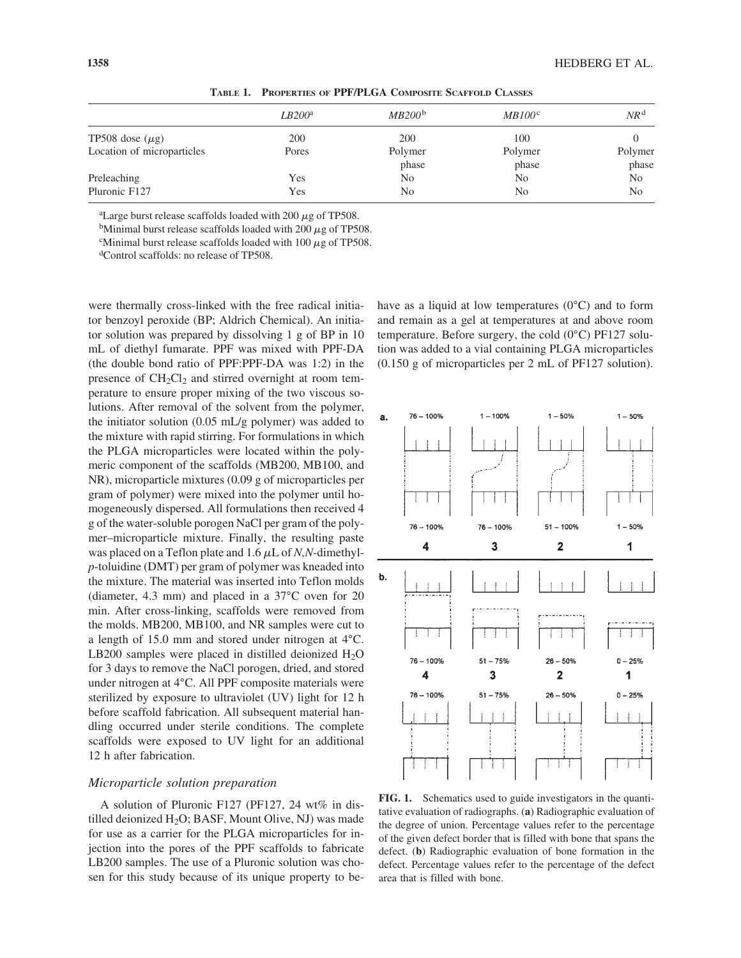|                            | $LB200^{\rm a}$ | MB200 <sup>b</sup> | $MB100^{\circ}$  | NR <sup>d</sup>  |
|----------------------------|-----------------|--------------------|------------------|------------------|
| TP508 dose $(\mu$ g)       | 200             | 200                | 100              |                  |
| Location of microparticles | Pores           | Polymer<br>phase   | Polymer<br>phase | Polymer<br>phase |
| Preleaching                | Yes             | N <sub>0</sub>     | No               | No               |
| Pluronic F127              | Yes             | N <sub>0</sub>     | No               | No               |

**TABLE 1. PROPERTIES OF PPF/PLGA COMPOSITE SCAFFOLD CLASSES**

<sup>a</sup>Large burst release scaffolds loaded with 200  $\mu$ g of TP508.

<sup>b</sup>Minimal burst release scaffolds loaded with 200  $\mu$ g of TP508.

"Minimal burst release scaffolds loaded with  $100 \mu$ g of TP508.

dControl scaffolds: no release of TP508.

were thermally cross-linked with the free radical initiator benzoyl peroxide (BP; Aldrich Chemical). An initiator solution was prepared by dissolving 1 g of BP in 10 mL of diethyl fumarate. PPF was mixed with PPF-DA (the double bond ratio of PPF:PPF-DA was 1:2) in the presence of  $CH_2Cl_2$  and stirred overnight at room temperature to ensure proper mixing of the two viscous solutions. After removal of the solvent from the polymer, the initiator solution (0.05 mL/g polymer) was added to the mixture with rapid stirring. For formulations in which the PLGA microparticles were located within the polymeric component of the scaffolds (MB200, MB100, and NR), microparticle mixtures (0.09 g of microparticles per gram of polymer) were mixed into the polymer until homogeneously dispersed. All formulations then received 4 g of the water-soluble porogen NaCl per gram of the polymer–microparticle mixture. Finally, the resulting paste was placed on a Teflon plate and  $1.6 \mu L$  of *N,N*-dimethyl*p*-toluidine (DMT) per gram of polymer was kneaded into the mixture. The material was inserted into Teflon molds (diameter, 4.3 mm) and placed in a 37°C oven for 20 min. After cross-linking, scaffolds were removed from the molds. MB200, MB100, and NR samples were cut to a length of 15.0 mm and stored under nitrogen at 4°C. LB200 samples were placed in distilled deionized  $H_2O$ for 3 days to remove the NaCl porogen, dried, and stored under nitrogen at 4°C. All PPF composite materials were sterilized by exposure to ultraviolet (UV) light for 12 h before scaffold fabrication. All subsequent material handling occurred under sterile conditions. The complete scaffolds were exposed to UV light for an additional 12 h after fabrication.

# *Microparticle solution preparation*

A solution of Pluronic F127 (PF127, 24 wt% in distilled deionized  $H_2O$ ; BASF, Mount Olive, NJ) was made for use as a carrier for the PLGA microparticles for injection into the pores of the PPF scaffolds to fabricate LB200 samples. The use of a Pluronic solution was chosen for this study because of its unique property to behave as a liquid at low temperatures  $(0^{\circ}C)$  and to form and remain as a gel at temperatures at and above room temperature. Before surgery, the cold (0°C) PF127 solution was added to a vial containing PLGA microparticles (0.150 g of microparticles per 2 mL of PF127 solution).



**FIG. 1.** Schematics used to guide investigators in the quantitative evaluation of radiographs. (**a**) Radiographic evaluation of the degree of union. Percentage values refer to the percentage of the given defect border that is filled with bone that spans the defect. (**b**) Radiographic evaluation of bone formation in the defect. Percentage values refer to the percentage of the defect area that is filled with bone.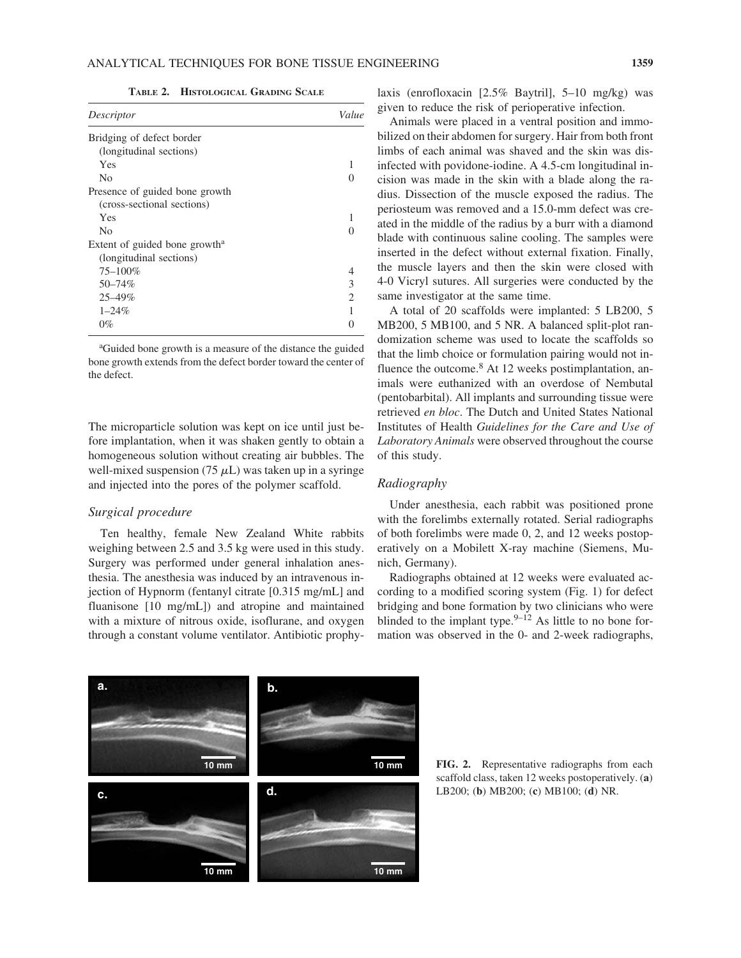**TABLE 2. HISTOLOGICAL GRADING SCALE**

| Descriptor                                | Value                         |  |  |
|-------------------------------------------|-------------------------------|--|--|
| Bridging of defect border                 |                               |  |  |
| (longitudinal sections)                   |                               |  |  |
| Yes                                       | 1                             |  |  |
| N <sub>0</sub>                            | $\left( \right)$              |  |  |
| Presence of guided bone growth            |                               |  |  |
| (cross-sectional sections)                |                               |  |  |
| Yes                                       |                               |  |  |
| Nο                                        |                               |  |  |
| Extent of guided bone growth <sup>a</sup> |                               |  |  |
| (longitudinal sections)                   |                               |  |  |
| 75-100%                                   | 4                             |  |  |
| $50 - 74\%$                               | 3                             |  |  |
| 25-49%                                    | $\mathfrak{D}_{\mathfrak{p}}$ |  |  |
| $1 - 24\%$                                |                               |  |  |
| $0\%$                                     |                               |  |  |

<sup>a</sup>Guided bone growth is a measure of the distance the guided bone growth extends from the defect border toward the center of the defect.

The microparticle solution was kept on ice until just before implantation, when it was shaken gently to obtain a homogeneous solution without creating air bubbles. The well-mixed suspension  $(75 \mu L)$  was taken up in a syringe and injected into the pores of the polymer scaffold.

#### *Surgical procedure*

Ten healthy, female New Zealand White rabbits weighing between 2.5 and 3.5 kg were used in this study. Surgery was performed under general inhalation anesthesia. The anesthesia was induced by an intravenous injection of Hypnorm (fentanyl citrate [0.315 mg/mL] and fluanisone [10 mg/mL]) and atropine and maintained with a mixture of nitrous oxide, isoflurane, and oxygen through a constant volume ventilator. Antibiotic prophylaxis (enrofloxacin [2.5% Baytril], 5–10 mg/kg) was given to reduce the risk of perioperative infection.

Animals were placed in a ventral position and immobilized on their abdomen for surgery. Hair from both front limbs of each animal was shaved and the skin was disinfected with povidone-iodine. A 4.5-cm longitudinal incision was made in the skin with a blade along the radius. Dissection of the muscle exposed the radius. The periosteum was removed and a 15.0-mm defect was created in the middle of the radius by a burr with a diamond blade with continuous saline cooling. The samples were inserted in the defect without external fixation. Finally, the muscle layers and then the skin were closed with 4-0 Vicryl sutures. All surgeries were conducted by the same investigator at the same time.

A total of 20 scaffolds were implanted: 5 LB200, 5 MB200, 5 MB100, and 5 NR. A balanced split-plot randomization scheme was used to locate the scaffolds so that the limb choice or formulation pairing would not influence the outcome.<sup>8</sup> At 12 weeks postimplantation, animals were euthanized with an overdose of Nembutal (pentobarbital). All implants and surrounding tissue were retrieved *en bloc*. The Dutch and United States National Institutes of Health *Guidelines for the Care and Use of Laboratory Animals* were observed throughout the course of this study.

#### *Radiography*

Under anesthesia, each rabbit was positioned prone with the forelimbs externally rotated. Serial radiographs of both forelimbs were made 0, 2, and 12 weeks postoperatively on a Mobilett X-ray machine (Siemens, Munich, Germany).

Radiographs obtained at 12 weeks were evaluated according to a modified scoring system (Fig. 1) for defect bridging and bone formation by two clinicians who were blinded to the implant type. $9-12$  As little to no bone formation was observed in the 0- and 2-week radiographs,



scaffold class, taken 12 weeks postoperatively. (**a**) LB200; (**b**) MB200; (**c**) MB100; (**d**) NR.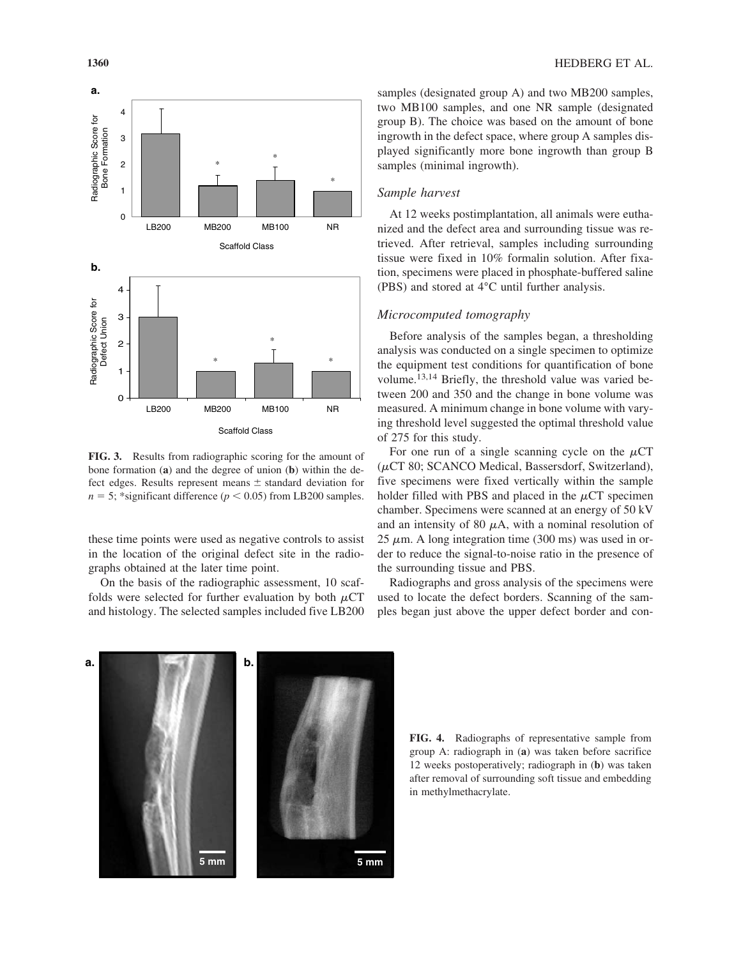

**FIG. 3.** Results from radiographic scoring for the amount of bone formation (**a**) and the degree of union (**b**) within the defect edges. Results represent means  $\pm$  standard deviation for  $n = 5$ ; \*significant difference ( $p < 0.05$ ) from LB200 samples.

these time points were used as negative controls to assist in the location of the original defect site in the radiographs obtained at the later time point.

On the basis of the radiographic assessment, 10 scaffolds were selected for further evaluation by both  $\mu$ CT and histology. The selected samples included five LB200 HEDBERG ET AL.

samples (designated group A) and two MB200 samples, two MB100 samples, and one NR sample (designated group B). The choice was based on the amount of bone ingrowth in the defect space, where group A samples displayed significantly more bone ingrowth than group B samples (minimal ingrowth).

# *Sample harvest*

At 12 weeks postimplantation, all animals were euthanized and the defect area and surrounding tissue was retrieved. After retrieval, samples including surrounding tissue were fixed in 10% formalin solution. After fixation, specimens were placed in phosphate-buffered saline (PBS) and stored at 4°C until further analysis.

# *Microcomputed tomography*

Before analysis of the samples began, a thresholding analysis was conducted on a single specimen to optimize the equipment test conditions for quantification of bone volume.<sup>13,14</sup> Briefly, the threshold value was varied between 200 and 350 and the change in bone volume was measured. A minimum change in bone volume with varying threshold level suggested the optimal threshold value of 275 for this study.

For one run of a single scanning cycle on the  $\mu$ CT  $(\mu$ CT 80; SCANCO Medical, Bassersdorf, Switzerland), five specimens were fixed vertically within the sample holder filled with PBS and placed in the  $\mu$ CT specimen chamber. Specimens were scanned at an energy of 50 kV and an intensity of 80  $\mu$ A, with a nominal resolution of  $25 \mu m$ . A long integration time (300 ms) was used in order to reduce the signal-to-noise ratio in the presence of the surrounding tissue and PBS.

Radiographs and gross analysis of the specimens were used to locate the defect borders. Scanning of the samples began just above the upper defect border and con-



**FIG. 4.** Radiographs of representative sample from group A: radiograph in (**a**) was taken before sacrifice 12 weeks postoperatively; radiograph in (**b**) was taken after removal of surrounding soft tissue and embedding in methylmethacrylate.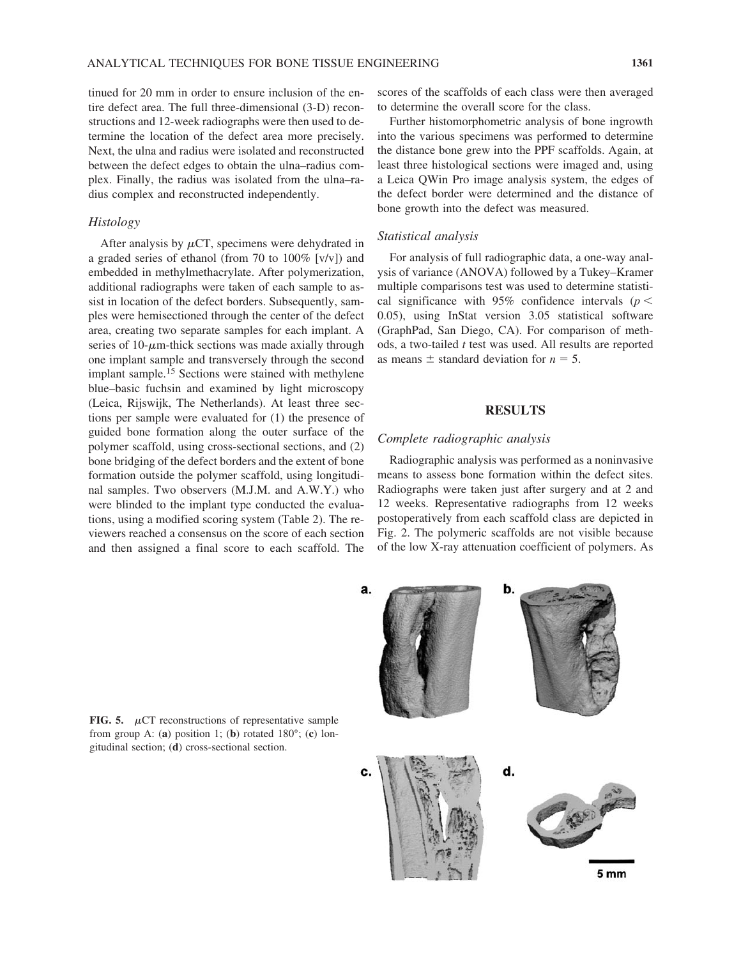tinued for 20 mm in order to ensure inclusion of the entire defect area. The full three-dimensional (3-D) reconstructions and 12-week radiographs were then used to determine the location of the defect area more precisely. Next, the ulna and radius were isolated and reconstructed between the defect edges to obtain the ulna–radius complex. Finally, the radius was isolated from the ulna–radius complex and reconstructed independently.

## *Histology*

After analysis by  $\mu$ CT, specimens were dehydrated in a graded series of ethanol (from 70 to 100% [v/v]) and embedded in methylmethacrylate. After polymerization, additional radiographs were taken of each sample to assist in location of the defect borders. Subsequently, samples were hemisectioned through the center of the defect area, creating two separate samples for each implant. A series of  $10$ - $\mu$ m-thick sections was made axially through one implant sample and transversely through the second implant sample.15 Sections were stained with methylene blue–basic fuchsin and examined by light microscopy (Leica, Rijswijk, The Netherlands). At least three sections per sample were evaluated for (1) the presence of guided bone formation along the outer surface of the polymer scaffold, using cross-sectional sections, and (2) bone bridging of the defect borders and the extent of bone formation outside the polymer scaffold, using longitudinal samples. Two observers (M.J.M. and A.W.Y.) who were blinded to the implant type conducted the evaluations, using a modified scoring system (Table 2). The reviewers reached a consensus on the score of each section and then assigned a final score to each scaffold. The

scores of the scaffolds of each class were then averaged to determine the overall score for the class.

Further histomorphometric analysis of bone ingrowth into the various specimens was performed to determine the distance bone grew into the PPF scaffolds. Again, at least three histological sections were imaged and, using a Leica QWin Pro image analysis system, the edges of the defect border were determined and the distance of bone growth into the defect was measured.

### *Statistical analysis*

For analysis of full radiographic data, a one-way analysis of variance (ANOVA) followed by a Tukey–Kramer multiple comparisons test was used to determine statistical significance with 95% confidence intervals ( $p <$ 0.05), using InStat version 3.05 statistical software (GraphPad, San Diego, CA). For comparison of methods, a two-tailed *t* test was used. All results are reported as means  $\pm$  standard deviation for  $n = 5$ .

# **RESULTS**

# *Complete radiographic analysis*

Radiographic analysis was performed as a noninvasive means to assess bone formation within the defect sites. Radiographs were taken just after surgery and at 2 and 12 weeks. Representative radiographs from 12 weeks postoperatively from each scaffold class are depicted in Fig. 2. The polymeric scaffolds are not visible because of the low X-ray attenuation coefficient of polymers. As

**FIG. 5.**  $\mu$ CT reconstructions of representative sample from group A: (**a**) position 1; (**b**) rotated 180°; (**c**) longitudinal section; (**d**) cross-sectional section.

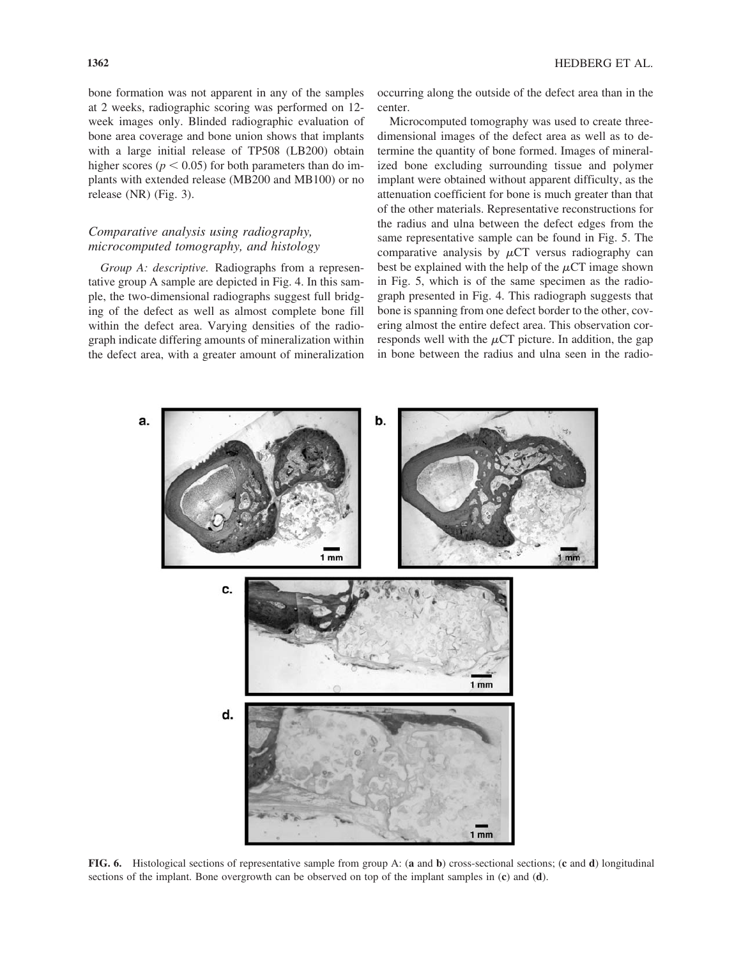bone formation was not apparent in any of the samples at 2 weeks, radiographic scoring was performed on 12 week images only. Blinded radiographic evaluation of bone area coverage and bone union shows that implants with a large initial release of TP508 (LB200) obtain higher scores ( $p < 0.05$ ) for both parameters than do implants with extended release (MB200 and MB100) or no release (NR) (Fig. 3).

# *Comparative analysis using radiography, microcomputed tomography, and histology*

*Group A: descriptive.* Radiographs from a representative group A sample are depicted in Fig. 4. In this sample, the two-dimensional radiographs suggest full bridging of the defect as well as almost complete bone fill within the defect area. Varying densities of the radiograph indicate differing amounts of mineralization within the defect area, with a greater amount of mineralization occurring along the outside of the defect area than in the center.

Microcomputed tomography was used to create threedimensional images of the defect area as well as to determine the quantity of bone formed. Images of mineralized bone excluding surrounding tissue and polymer implant were obtained without apparent difficulty, as the attenuation coefficient for bone is much greater than that of the other materials. Representative reconstructions for the radius and ulna between the defect edges from the same representative sample can be found in Fig. 5. The comparative analysis by  $\mu$ CT versus radiography can best be explained with the help of the  $\mu$ CT image shown in Fig. 5, which is of the same specimen as the radiograph presented in Fig. 4. This radiograph suggests that bone is spanning from one defect border to the other, covering almost the entire defect area. This observation corresponds well with the  $\mu$ CT picture. In addition, the gap in bone between the radius and ulna seen in the radio-



**FIG. 6.** Histological sections of representative sample from group A: (**a** and **b**) cross-sectional sections; (**c** and **d**) longitudinal sections of the implant. Bone overgrowth can be observed on top of the implant samples in (**c**) and (**d**).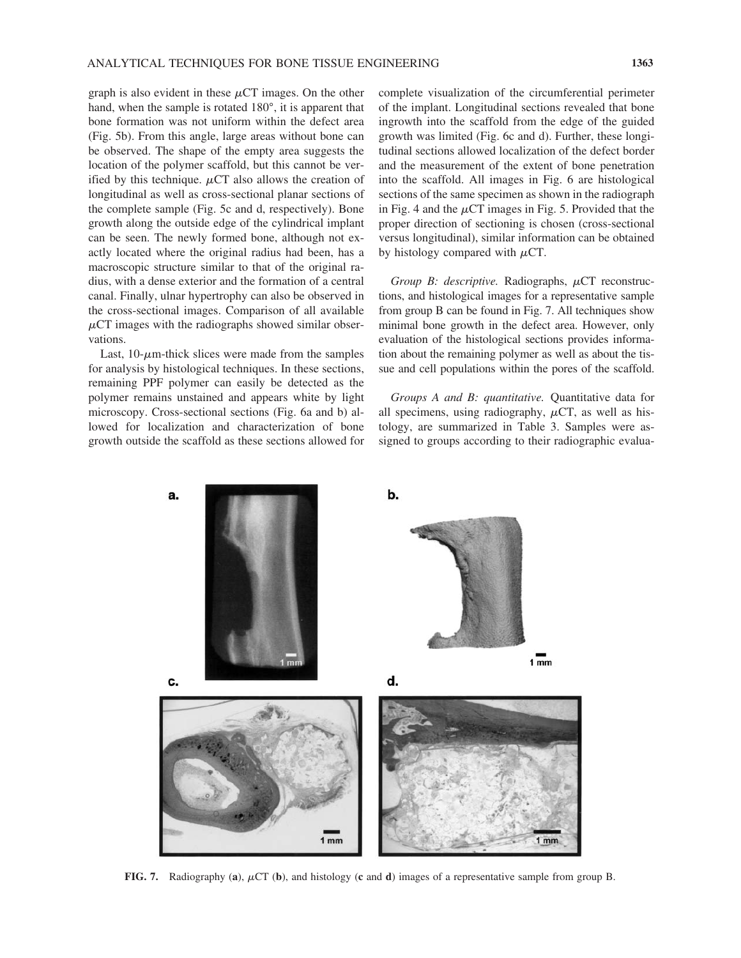graph is also evident in these  $\mu$ CT images. On the other hand, when the sample is rotated 180°, it is apparent that bone formation was not uniform within the defect area (Fig. 5b). From this angle, large areas without bone can be observed. The shape of the empty area suggests the location of the polymer scaffold, but this cannot be verified by this technique.  $\mu$ CT also allows the creation of longitudinal as well as cross-sectional planar sections of the complete sample (Fig. 5c and d, respectively). Bone growth along the outside edge of the cylindrical implant can be seen. The newly formed bone, although not exactly located where the original radius had been, has a macroscopic structure similar to that of the original radius, with a dense exterior and the formation of a central canal. Finally, ulnar hypertrophy can also be observed in the cross-sectional images. Comparison of all available  $\mu$ CT images with the radiographs showed similar observations.

Last,  $10$ - $\mu$ m-thick slices were made from the samples for analysis by histological techniques. In these sections, remaining PPF polymer can easily be detected as the polymer remains unstained and appears white by light microscopy. Cross-sectional sections (Fig. 6a and b) allowed for localization and characterization of bone growth outside the scaffold as these sections allowed for complete visualization of the circumferential perimeter of the implant. Longitudinal sections revealed that bone ingrowth into the scaffold from the edge of the guided growth was limited (Fig. 6c and d). Further, these longitudinal sections allowed localization of the defect border and the measurement of the extent of bone penetration into the scaffold. All images in Fig. 6 are histological sections of the same specimen as shown in the radiograph in Fig. 4 and the  $\mu$ CT images in Fig. 5. Provided that the proper direction of sectioning is chosen (cross-sectional versus longitudinal), similar information can be obtained by histology compared with  $\mu$ CT.

*Group B: descriptive.* Radiographs,  $\mu$ CT reconstructions, and histological images for a representative sample from group B can be found in Fig. 7. All techniques show minimal bone growth in the defect area. However, only evaluation of the histological sections provides information about the remaining polymer as well as about the tissue and cell populations within the pores of the scaffold.

*Groups A and B: quantitative.* Quantitative data for all specimens, using radiography,  $\mu$ CT, as well as histology, are summarized in Table 3. Samples were assigned to groups according to their radiographic evalua-



**FIG. 7.** Radiography (a),  $\mu$ CT (b), and histology (**c** and **d**) images of a representative sample from group B.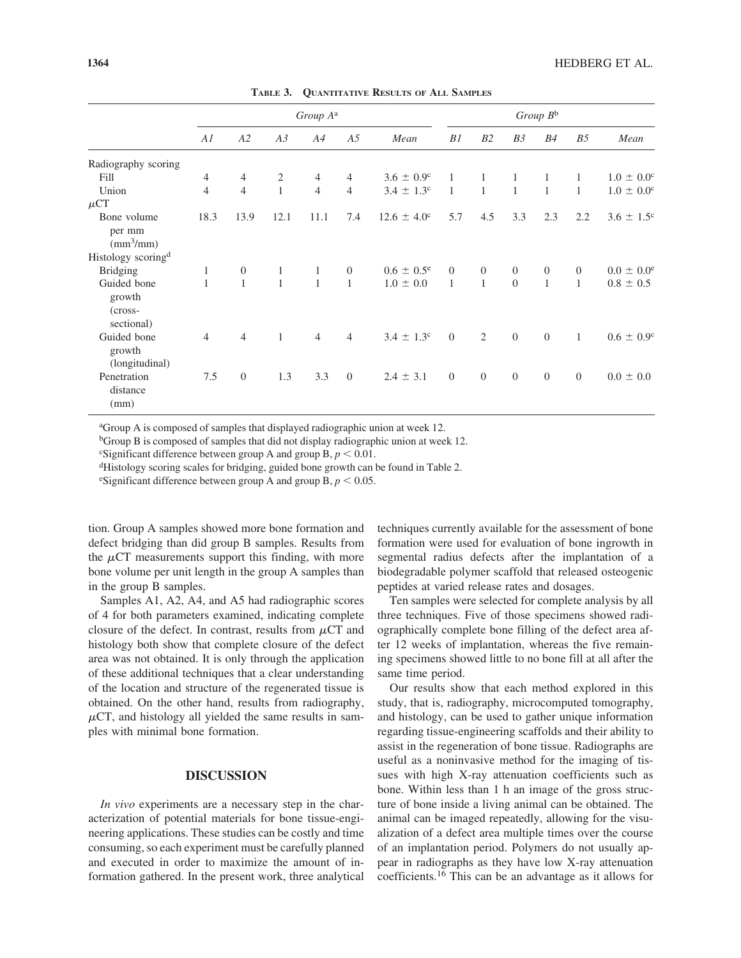|                                                  | Group A <sup>a</sup> |                  |              |                |                  |                        | $Group B^b$      |                  |                  |                  |                  |                       |
|--------------------------------------------------|----------------------|------------------|--------------|----------------|------------------|------------------------|------------------|------------------|------------------|------------------|------------------|-----------------------|
|                                                  | AI                   | A2               | A3           | A4             | A <sub>5</sub>   | Mean                   | B1               | B2               | B3               | B4               | B <sub>5</sub>   | Mean                  |
| Radiography scoring                              |                      |                  |              |                |                  |                        |                  |                  |                  |                  |                  |                       |
| Fill                                             | 4                    | 4                | 2            | $\overline{4}$ | $\overline{4}$   | $3.6 \pm 0.9^{\circ}$  | 1                | 1                | 1                | 1                | $\mathbf{1}$     | $1.0 \pm 0.0^{\circ}$ |
| Union                                            | $\overline{4}$       | $\overline{4}$   | $\mathbf{1}$ | 4              | $\overline{4}$   | $3.4 \pm 1.3^c$        | $\mathbf{1}$     | $\mathbf{1}$     | $\mathbf{1}$     | 1                | 1                | $1.0 \pm 0.0^{\circ}$ |
| $\mu$ CT                                         |                      |                  |              |                |                  |                        |                  |                  |                  |                  |                  |                       |
| Bone volume<br>per mm                            | 18.3                 | 13.9             | 12.1         | 11.1           | 7.4              | $12.6 \pm 4.0^{\circ}$ | 5.7              | 4.5              | 3.3              | 2.3              | 2.2              | $3.6 \pm 1.5^{\circ}$ |
| $\left(\text{mm}^3/\text{mm}\right)$             |                      |                  |              |                |                  |                        |                  |                  |                  |                  |                  |                       |
| Histology scoring <sup>d</sup>                   |                      |                  |              |                |                  |                        |                  |                  |                  |                  |                  |                       |
| <b>Bridging</b>                                  | 1                    | $\mathbf{0}$     | $\mathbf{1}$ | $\mathbf{1}$   | $\overline{0}$   | $0.6 \pm 0.5^e$        | $\mathbf{0}$     | $\boldsymbol{0}$ | $\overline{0}$   | $\overline{0}$   | $\overline{0}$   | $0.0 \pm 0.0^e$       |
| Guided bone<br>growth<br>$(cross-$<br>sectional) | $\mathbf{1}$         | $\mathbf{1}$     | $\mathbf{1}$ | $\mathbf{1}$   | $\mathbf{1}$     | $1.0 \pm 0.0$          | $\mathbf{1}$     | $\mathbf{1}$     | $\theta$         | $\mathbf{1}$     | $\mathbf{1}$     | $0.8 \pm 0.5$         |
| Guided bone<br>growth<br>(longitudinal)          | $\overline{4}$       | $\overline{4}$   | $\mathbf{1}$ | $\overline{4}$ | $\overline{4}$   | $3.4 \pm 1.3^c$        | $\boldsymbol{0}$ | $\mathfrak{2}$   | $\theta$         | $\boldsymbol{0}$ | $\mathbf{1}$     | $0.6 \pm 0.9^{\circ}$ |
| Penetration<br>distance<br>(mm)                  | 7.5                  | $\boldsymbol{0}$ | 1.3          | 3.3            | $\boldsymbol{0}$ | $2.4 \pm 3.1$          | $\boldsymbol{0}$ | $\boldsymbol{0}$ | $\boldsymbol{0}$ | $\boldsymbol{0}$ | $\boldsymbol{0}$ | $0.0 \pm 0.0$         |

**TABLE 3. QUANTITATIVE RESULTS OF ALL SAMPLES**

<sup>a</sup>Group A is composed of samples that displayed radiographic union at week 12.

bGroup B is composed of samples that did not display radiographic union at week 12.

<sup>c</sup>Significant difference between group A and group B,  $p < 0.01$ .

dHistology scoring scales for bridging, guided bone growth can be found in Table 2.

<sup>e</sup>Significant difference between group A and group B,  $p < 0.05$ .

tion. Group A samples showed more bone formation and defect bridging than did group B samples. Results from the  $\mu$ CT measurements support this finding, with more bone volume per unit length in the group A samples than in the group B samples.

Samples A1, A2, A4, and A5 had radiographic scores of 4 for both parameters examined, indicating complete closure of the defect. In contrast, results from  $\mu$ CT and histology both show that complete closure of the defect area was not obtained. It is only through the application of these additional techniques that a clear understanding of the location and structure of the regenerated tissue is obtained. On the other hand, results from radiography,  $\mu$ CT, and histology all yielded the same results in samples with minimal bone formation.

#### **DISCUSSION**

*In vivo* experiments are a necessary step in the characterization of potential materials for bone tissue-engineering applications. These studies can be costly and time consuming, so each experiment must be carefully planned and executed in order to maximize the amount of information gathered. In the present work, three analytical techniques currently available for the assessment of bone formation were used for evaluation of bone ingrowth in segmental radius defects after the implantation of a biodegradable polymer scaffold that released osteogenic peptides at varied release rates and dosages.

Ten samples were selected for complete analysis by all three techniques. Five of those specimens showed radiographically complete bone filling of the defect area after 12 weeks of implantation, whereas the five remaining specimens showed little to no bone fill at all after the same time period.

Our results show that each method explored in this study, that is, radiography, microcomputed tomography, and histology, can be used to gather unique information regarding tissue-engineering scaffolds and their ability to assist in the regeneration of bone tissue. Radiographs are useful as a noninvasive method for the imaging of tissues with high X-ray attenuation coefficients such as bone. Within less than 1 h an image of the gross structure of bone inside a living animal can be obtained. The animal can be imaged repeatedly, allowing for the visualization of a defect area multiple times over the course of an implantation period. Polymers do not usually appear in radiographs as they have low X-ray attenuation coefficients.16 This can be an advantage as it allows for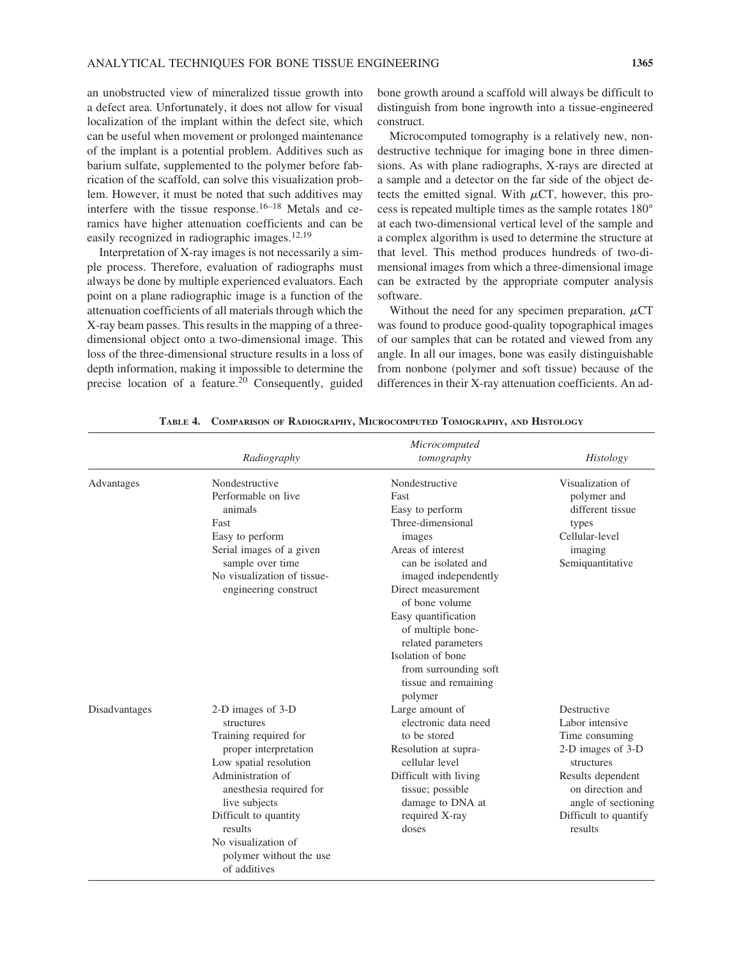an unobstructed view of mineralized tissue growth into a defect area. Unfortunately, it does not allow for visual localization of the implant within the defect site, which can be useful when movement or prolonged maintenance of the implant is a potential problem. Additives such as barium sulfate, supplemented to the polymer before fabrication of the scaffold, can solve this visualization problem. However, it must be noted that such additives may interfere with the tissue response. $16-18$  Metals and ceramics have higher attenuation coefficients and can be easily recognized in radiographic images.<sup>12,19</sup>

Interpretation of X-ray images is not necessarily a simple process. Therefore, evaluation of radiographs must always be done by multiple experienced evaluators. Each point on a plane radiographic image is a function of the attenuation coefficients of all materials through which the X-ray beam passes. This results in the mapping of a threedimensional object onto a two-dimensional image. This loss of the three-dimensional structure results in a loss of depth information, making it impossible to determine the precise location of a feature.<sup>20</sup> Consequently, guided

bone growth around a scaffold will always be difficult to distinguish from bone ingrowth into a tissue-engineered construct.

Microcomputed tomography is a relatively new, nondestructive technique for imaging bone in three dimensions. As with plane radiographs, X-rays are directed at a sample and a detector on the far side of the object detects the emitted signal. With  $\mu$ CT, however, this process is repeated multiple times as the sample rotates 180° at each two-dimensional vertical level of the sample and a complex algorithm is used to determine the structure at that level. This method produces hundreds of two-dimensional images from which a three-dimensional image can be extracted by the appropriate computer analysis software.

Without the need for any specimen preparation,  $\mu$ CT was found to produce good-quality topographical images of our samples that can be rotated and viewed from any angle. In all our images, bone was easily distinguishable from nonbone (polymer and soft tissue) because of the differences in their X-ray attenuation coefficients. An ad-

|               | Microcomputed               |                       |                       |  |  |
|---------------|-----------------------------|-----------------------|-----------------------|--|--|
|               | Radiography                 | tomography            | Histology             |  |  |
| Advantages    | Nondestructive              | Nondestructive        | Visualization of      |  |  |
|               | Performable on live         | Fast                  | polymer and           |  |  |
|               | animals                     | Easy to perform       | different tissue      |  |  |
|               | Fast                        | Three-dimensional     | types                 |  |  |
|               | Easy to perform             | images                | Cellular-level        |  |  |
|               | Serial images of a given    | Areas of interest     | imaging               |  |  |
|               | sample over time            | can be isolated and   | Semiquantitative      |  |  |
|               | No visualization of tissue- | imaged independently  |                       |  |  |
|               | engineering construct       | Direct measurement    |                       |  |  |
|               |                             | of bone volume        |                       |  |  |
|               |                             | Easy quantification   |                       |  |  |
|               |                             | of multiple bone-     |                       |  |  |
|               |                             | related parameters    |                       |  |  |
|               |                             | Isolation of bone     |                       |  |  |
|               |                             | from surrounding soft |                       |  |  |
|               |                             | tissue and remaining  |                       |  |  |
|               |                             | polymer               |                       |  |  |
| Disadvantages | 2-D images of 3-D           | Large amount of       | Destructive           |  |  |
|               | structures                  | electronic data need  | Labor intensive       |  |  |
|               | Training required for       | to be stored          | Time consuming        |  |  |
|               | proper interpretation       | Resolution at supra-  | 2-D images of 3-D     |  |  |
|               | Low spatial resolution      | cellular level        | structures            |  |  |
|               | Administration of           | Difficult with living | Results dependent     |  |  |
|               | anesthesia required for     | tissue; possible      | on direction and      |  |  |
|               | live subjects               | damage to DNA at      | angle of sectioning   |  |  |
|               | Difficult to quantity       | required X-ray        | Difficult to quantify |  |  |
|               | results                     | doses                 | results               |  |  |
|               | No visualization of         |                       |                       |  |  |
|               | polymer without the use     |                       |                       |  |  |
|               | of additives                |                       |                       |  |  |

**TABLE 4. COMPARISON OF RADIOGRAPHY, MICROCOMPUTED TOMOGRAPHY, AND HISTOLOGY**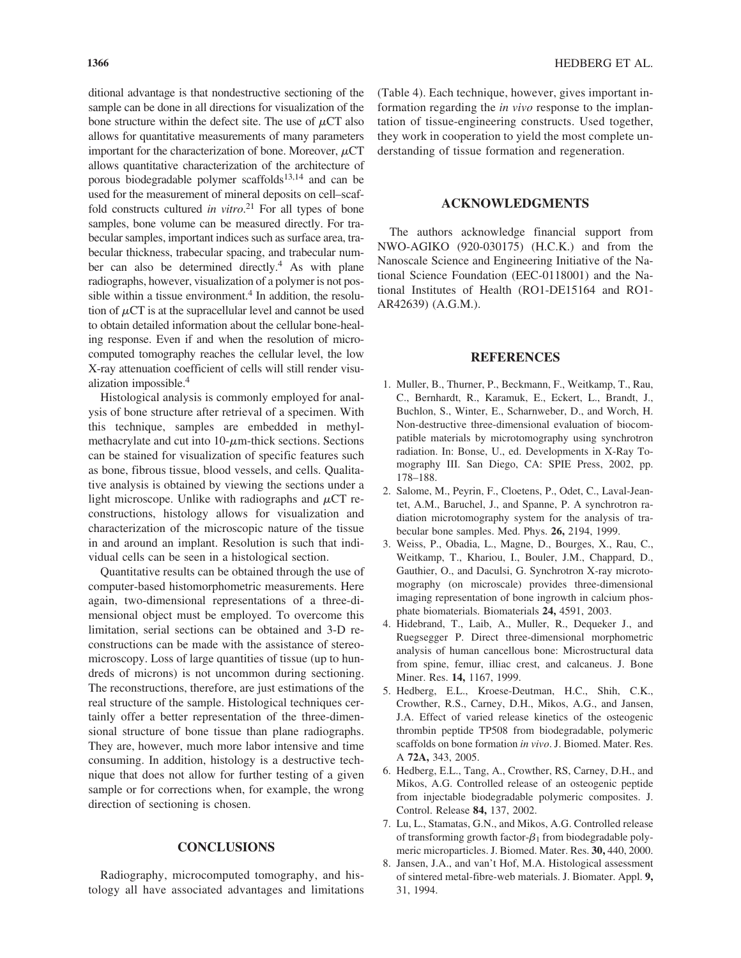ditional advantage is that nondestructive sectioning of the sample can be done in all directions for visualization of the bone structure within the defect site. The use of  $\mu$ CT also allows for quantitative measurements of many parameters important for the characterization of bone. Moreover,  $\mu$ CT allows quantitative characterization of the architecture of porous biodegradable polymer scaffolds<sup>13,14</sup> and can be used for the measurement of mineral deposits on cell–scaffold constructs cultured *in vitro*. <sup>21</sup> For all types of bone samples, bone volume can be measured directly. For trabecular samples, important indices such as surface area, trabecular thickness, trabecular spacing, and trabecular number can also be determined directly.<sup>4</sup> As with plane radiographs, however, visualization of a polymer is not possible within a tissue environment.<sup>4</sup> In addition, the resolution of  $\mu$ CT is at the supracellular level and cannot be used to obtain detailed information about the cellular bone-healing response. Even if and when the resolution of microcomputed tomography reaches the cellular level, the low X-ray attenuation coefficient of cells will still render visualization impossible.4

Histological analysis is commonly employed for analysis of bone structure after retrieval of a specimen. With this technique, samples are embedded in methylmethacrylate and cut into  $10$ - $\mu$ m-thick sections. Sections can be stained for visualization of specific features such as bone, fibrous tissue, blood vessels, and cells. Qualitative analysis is obtained by viewing the sections under a light microscope. Unlike with radiographs and  $\mu$ CT reconstructions, histology allows for visualization and characterization of the microscopic nature of the tissue in and around an implant. Resolution is such that individual cells can be seen in a histological section.

Quantitative results can be obtained through the use of computer-based histomorphometric measurements. Here again, two-dimensional representations of a three-dimensional object must be employed. To overcome this limitation, serial sections can be obtained and 3-D reconstructions can be made with the assistance of stereomicroscopy. Loss of large quantities of tissue (up to hundreds of microns) is not uncommon during sectioning. The reconstructions, therefore, are just estimations of the real structure of the sample. Histological techniques certainly offer a better representation of the three-dimensional structure of bone tissue than plane radiographs. They are, however, much more labor intensive and time consuming. In addition, histology is a destructive technique that does not allow for further testing of a given sample or for corrections when, for example, the wrong direction of sectioning is chosen.

# **CONCLUSIONS**

Radiography, microcomputed tomography, and histology all have associated advantages and limitations (Table 4). Each technique, however, gives important information regarding the *in vivo* response to the implantation of tissue-engineering constructs. Used together, they work in cooperation to yield the most complete understanding of tissue formation and regeneration.

#### **ACKNOWLEDGMENTS**

The authors acknowledge financial support from NWO-AGIKO (920-030175) (H.C.K.) and from the Nanoscale Science and Engineering Initiative of the National Science Foundation (EEC-0118001) and the National Institutes of Health (RO1-DE15164 and RO1- AR42639) (A.G.M.).

## **REFERENCES**

- 1. Muller, B., Thurner, P., Beckmann, F., Weitkamp, T., Rau, C., Bernhardt, R., Karamuk, E., Eckert, L., Brandt, J., Buchlon, S., Winter, E., Scharnweber, D., and Worch, H. Non-destructive three-dimensional evaluation of biocompatible materials by microtomography using synchrotron radiation. In: Bonse, U., ed. Developments in X-Ray Tomography III. San Diego, CA: SPIE Press, 2002, pp. 178–188.
- 2. Salome, M., Peyrin, F., Cloetens, P., Odet, C., Laval-Jeantet, A.M., Baruchel, J., and Spanne, P. A synchrotron radiation microtomography system for the analysis of trabecular bone samples. Med. Phys. **26,** 2194, 1999.
- 3. Weiss, P., Obadia, L., Magne, D., Bourges, X., Rau, C., Weitkamp, T., Khariou, I., Bouler, J.M., Chappard, D., Gauthier, O., and Daculsi, G. Synchrotron X-ray microtomography (on microscale) provides three-dimensional imaging representation of bone ingrowth in calcium phosphate biomaterials. Biomaterials **24,** 4591, 2003.
- 4. Hidebrand, T., Laib, A., Muller, R., Dequeker J., and Ruegsegger P. Direct three-dimensional morphometric analysis of human cancellous bone: Microstructural data from spine, femur, illiac crest, and calcaneus. J. Bone Miner. Res. **14,** 1167, 1999.
- 5. Hedberg, E.L., Kroese-Deutman, H.C., Shih, C.K., Crowther, R.S., Carney, D.H., Mikos, A.G., and Jansen, J.A. Effect of varied release kinetics of the osteogenic thrombin peptide TP508 from biodegradable, polymeric scaffolds on bone formation *in vivo*. J. Biomed. Mater. Res. A **72A,** 343, 2005.
- 6. Hedberg, E.L., Tang, A., Crowther, RS, Carney, D.H., and Mikos, A.G. Controlled release of an osteogenic peptide from injectable biodegradable polymeric composites. J. Control. Release **84,** 137, 2002.
- 7. Lu, L., Stamatas, G.N., and Mikos, A.G. Controlled release of transforming growth factor-*β*<sub>1</sub> from biodegradable polymeric microparticles. J. Biomed. Mater. Res. **30,** 440, 2000.
- 8. Jansen, J.A., and van't Hof, M.A. Histological assessment of sintered metal-fibre-web materials. J. Biomater. Appl. **9,** 31, 1994.